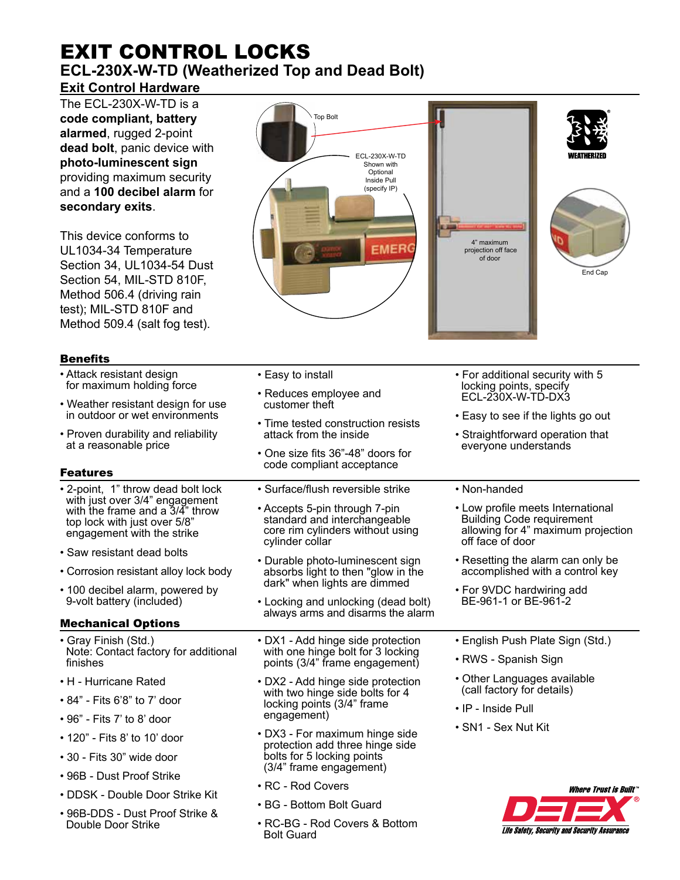# EXIT CONTROL LOCKS **ECL-230X-W-TD (Weatherized Top and Dead Bolt) Exit Control Hardware**

The ECL-230X-W-TD is a **code compliant, battery alarmed**, rugged 2-point **dead bolt**, panic device with **photo-luminescent sign** providing maximum security and a **100 decibel alarm** for **secondary exits**.

This device conforms to UL1034-34 Temperature Section 34, UL1034-54 Dust Section 54, MIL-STD 810F, Method 506.4 (driving rain test); MIL-STD 810F and Method 509.4 (salt fog test).

# **Benefits**

Double Door Strike

- Top Bolt ECL-230X-W-TD Shown with Optional Inside Pull (specify IP) 4" maximum **EMER**  projection off face of doorEnd Cap
- Attack resistant design • Easy to install • For additional security with 5 for maximum holding force locking points, specify • Reduces employee and ECL-230X-W-TD-DX3 • Weather resistant design for use customer theft in outdoor or wet environments • Easy to see if the lights go out • Time tested construction resists attack from the inside • Straightforward operation that • Proven durability and reliability at a reasonable price everyone understands • One size fits 36"-48" doors for code compliant acceptance Features • 2-point, 1" throw dead bolt lock • Surface/flush reversible strike • Non-handed with just over 3/4" engagement • Accepts 5-pin through 7-pin • Low profile meets International with the frame and a 3/4" throw standard and interchangeable Building Code requirement top lock with just over 5/8" allowing for 4" maximum projection core rim cylinders without using engagement with the strike cylinder collar off face of door • Saw resistant dead bolts • Durable photo-luminescent sign • Resetting the alarm can only be • Corrosion resistant alloy lock body absorbs light to then "glow in the accomplished with a control key dark" when lights are dimmed • 100 decibel alarm, powered by • For 9VDC hardwiring add 9-volt battery (included) BE-961-1 or BE-961-2 • Locking and unlocking (dead bolt) always arms and disarms the alarm Mechanical Options • Gray Finish (Std.) • DX1 - Add hinge side protection • English Push Plate Sign (Std.) Note: Contact factory for additional with one hinge bolt for 3 locking • RWS - Spanish Sign finishes points (3/4" frame engagement) • Other Languages available • H - Hurricane Rated • DX2 - Add hinge side protection (call factory for details) with two hinge side bolts for 4 • 84" - Fits 6'8" to 7' door locking points (3/4" frame • IP - Inside Pull engagement) • 96" - Fits 7' to 8' door • SN1 - Sex Nut Kit • DX3 - For maximum hinge side • 120" - Fits 8' to 10' door protection add three hinge side • 30 - Fits 30" wide door bolts for 5 locking points (3/4" frame engagement) • 96B - Dust Proof Strike • RC - Rod Covers **Where Trust is Built** • DDSK - Double Door Strike Kit • BG - Bottom Bolt Guard • 96B-DDS - Dust Proof Strike &
	- RC-BG Rod Covers & Bottom Bolt Guard

Life Safety, Security and Security Assurance